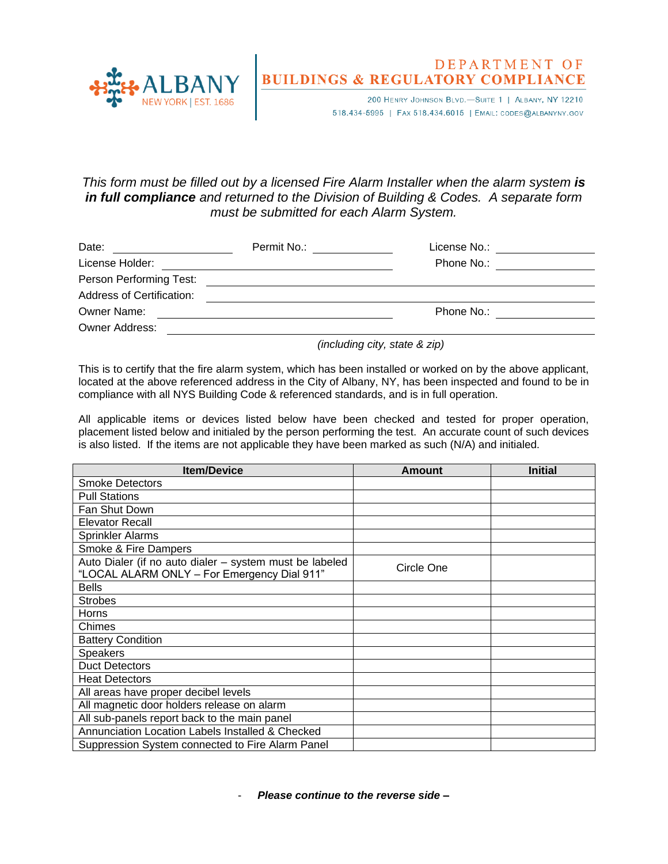

## DEPARTMENT OF **BUILDINGS & REGULATORY COMPLIANCE**

200 HENRY JOHNSON BLVD.-SUITE 1 | ALBANY, NY 12210 518.434-5995 | FAX 518.434.6015 | EMAIL: CODES@ALBANYNY.GOV

## *This form must be filled out by a licensed Fire Alarm Installer when the alarm system is in full compliance and returned to the Division of Building & Codes. A separate form must be submitted for each Alarm System.*

| Date:                            | Permit No.: <b>Example 20</b> | License No.:                                                                                                                                                                                                                   |
|----------------------------------|-------------------------------|--------------------------------------------------------------------------------------------------------------------------------------------------------------------------------------------------------------------------------|
| License Holder:                  |                               | Phone No.: The contract of the contract of the contract of the contract of the contract of the contract of the contract of the contract of the contract of the contract of the contract of the contract of the contract of the |
| Person Performing Test:          |                               |                                                                                                                                                                                                                                |
| <b>Address of Certification:</b> |                               |                                                                                                                                                                                                                                |
| Owner Name:                      |                               | Phone No.:                                                                                                                                                                                                                     |
| <b>Owner Address:</b>            |                               |                                                                                                                                                                                                                                |

*(including city, state & zip)*

This is to certify that the fire alarm system, which has been installed or worked on by the above applicant, located at the above referenced address in the City of Albany, NY, has been inspected and found to be in compliance with all NYS Building Code & referenced standards, and is in full operation.

All applicable items or devices listed below have been checked and tested for proper operation, placement listed below and initialed by the person performing the test. An accurate count of such devices is also listed. If the items are not applicable they have been marked as such (N/A) and initialed.

| <b>Item/Device</b>                                                                                     | <b>Amount</b> | <b>Initial</b> |
|--------------------------------------------------------------------------------------------------------|---------------|----------------|
| <b>Smoke Detectors</b>                                                                                 |               |                |
| <b>Pull Stations</b>                                                                                   |               |                |
| Fan Shut Down                                                                                          |               |                |
| <b>Elevator Recall</b>                                                                                 |               |                |
| <b>Sprinkler Alarms</b>                                                                                |               |                |
| Smoke & Fire Dampers                                                                                   |               |                |
| Auto Dialer (if no auto dialer - system must be labeled<br>"LOCAL ALARM ONLY - For Emergency Dial 911" | Circle One    |                |
| <b>Bells</b>                                                                                           |               |                |
| <b>Strobes</b>                                                                                         |               |                |
| Horns                                                                                                  |               |                |
| Chimes                                                                                                 |               |                |
| <b>Battery Condition</b>                                                                               |               |                |
| <b>Speakers</b>                                                                                        |               |                |
| <b>Duct Detectors</b>                                                                                  |               |                |
| <b>Heat Detectors</b>                                                                                  |               |                |
| All areas have proper decibel levels                                                                   |               |                |
| All magnetic door holders release on alarm                                                             |               |                |
| All sub-panels report back to the main panel                                                           |               |                |
| Annunciation Location Labels Installed & Checked                                                       |               |                |
| Suppression System connected to Fire Alarm Panel                                                       |               |                |

- *Please continue to the reverse side –*